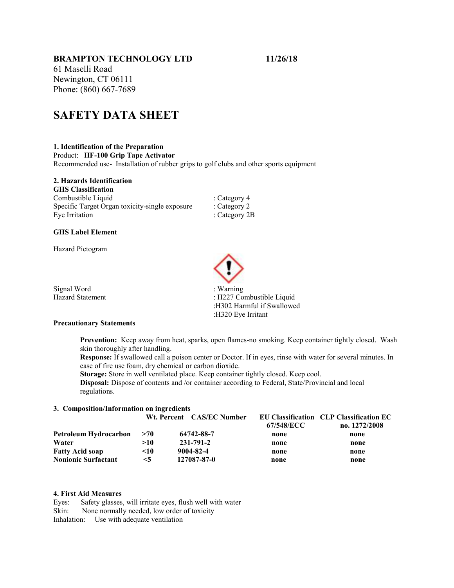# BRAMPTON TECHNOLOGY LTD 11/26/18

61 Maselli Road Newington, CT 06111 Phone: (860) 667-7689

# SAFETY DATA SHEET

# 1. Identification of the Preparation

Product: HF-100 Grip Tape Activator

Recommended use- Installation of rubber grips to golf clubs and other sports equipment

# 2. Hazards Identification

| <b>GHS Classification</b>                      |                 |
|------------------------------------------------|-----------------|
| Combustible Liquid                             | : Category 4    |
| Specific Target Organ toxicity-single exposure | : Category 2    |
| Eye Irritation                                 | : Category $2B$ |

### GHS Label Element

Hazard Pictogram



Precautionary Statements

Prevention: Keep away from heat, sparks, open flames-no smoking. Keep container tightly closed. Wash skin thoroughly after handling.

Response: If swallowed call a poison center or Doctor. If in eyes, rinse with water for several minutes. In case of fire use foam, dry chemical or carbon dioxide.

Storage: Store in well ventilated place. Keep container tightly closed. Keep cool.

Disposal: Dispose of contents and /or container according to Federal, State/Provincial and local regulations.

#### 3. Composition/Information on ingredients

|                            |           | Wt. Percent CAS/EC Number |            | EU Classification CLP Classification EC |
|----------------------------|-----------|---------------------------|------------|-----------------------------------------|
|                            |           |                           | 67/548/ECC | no. 1272/2008                           |
| Petroleum Hydrocarbon      | >70       | 64742-88-7                | none       | none                                    |
| Water                      | >10       | 231-791-2                 | none       | none                                    |
| <b>Fatty Acid soap</b>     | $\leq 10$ | 9004-82-4                 | none       | none                                    |
| <b>Nonionic Surfactant</b> | $\leq$ 5  | 127087-87-0               | none       | none                                    |

# 4. First Aid Measures

Eyes: Safety glasses, will irritate eyes, flush well with water Skin: None normally needed, low order of toxicity Inhalation: Use with adequate ventilation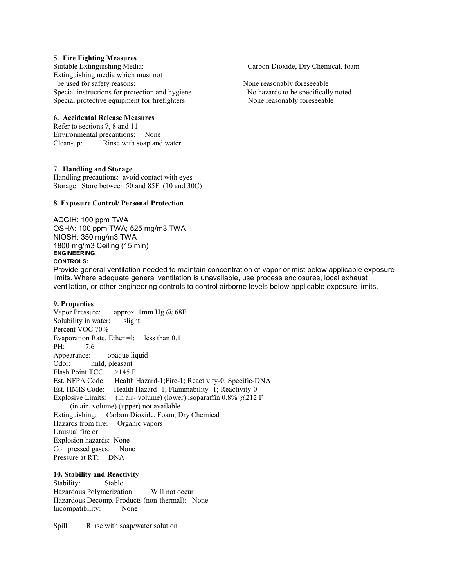#### 5. Fire Fighting Measures

Suitable Extinguishing Media: Carbon Dioxide, Dry Chemical, foam Extinguishing media which must not be used for safety reasons: None reasonably foreseeable Special instructions for protection and hygiene No hazards to be specifically noted Special protective equipment for firefighters None reasonably foreseeable

#### 6. Accidental Release Measures

Refer to sections 7, 8 and 11 Environmental precautions: None Clean-up: Rinse with soap and water

#### 7. Handling and Storage

Handling precautions: avoid contact with eyes Storage: Store between 50 and 85F (10 and 30C)

#### 8. Exposure Control/ Personal Protection

ACGIH: 100 ppm TWA OSHA: 100 ppm TWA; 525 mg/m3 TWA NIOSH: 350 mg/m3 TWA 1800 mg/m3 Ceiling (15 min) ENGINEERING CONTROLS:

Provide general ventilation needed to maintain concentration of vapor or mist below applicable exposure limits. Where adequate general ventilation is unavailable, use process enclosures, local exhaust ventilation, or other engineering controls to control airborne levels below applicable exposure limits.

#### 9. Properties

Vapor Pressure: approx. 1mm Hg @ 68F Solubility in water: slight Percent VOC 70% Evaporation Rate, Ether =l: less than 0.1 PH: 7.6 Appearance: opaque liquid Odor: mild, pleasant Flash Point TCC: >145 F Est. NFPA Code: Health Hazard-1;Fire-1; Reactivity-0; Specific-DNA Est. HMIS Code: Health Hazard- 1; Flammability- 1; Reactivity-0 Explosive Limits: (in air- volume) (lower) isoparaffin  $0.8\%$  @212 F (in air- volume) (upper) not available Extinguishing: Carbon Dioxide, Foam, Dry Chemical Hazards from fire: Organic vapors Unusual fire or Explosion hazards: None Compressed gases: None Pressure at RT: DNA

### 10. Stability and Reactivity

Stability: Stable Hazardous Polymerization: Will not occur Hazardous Decomp. Products (non-thermal): None Incompatibility: None

Spill: Rinse with soap/water solution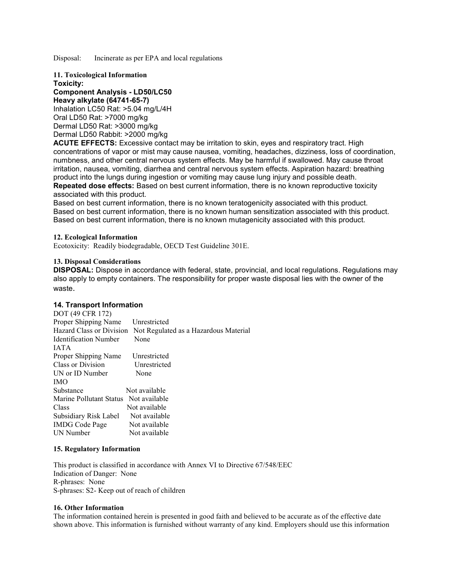Disposal: Incinerate as per EPA and local regulations

11. Toxicological Information Toxicity: Component Analysis - LD50/LC50 Heavy alkylate (64741-65-7) Inhalation LC50 Rat: >5.04 mg/L/4H Oral LD50 Rat: >7000 mg/kg Dermal LD50 Rat: >3000 mg/kg Dermal LD50 Rabbit: >2000 mg/kg

ACUTE EFFECTS: Excessive contact may be irritation to skin, eyes and respiratory tract. High concentrations of vapor or mist may cause nausea, vomiting, headaches, dizziness, loss of coordination, numbness, and other central nervous system effects. May be harmful if swallowed. May cause throat irritation, nausea, vomiting, diarrhea and central nervous system effects. Aspiration hazard: breathing product into the lungs during ingestion or vomiting may cause lung injury and possible death. Repeated dose effects: Based on best current information, there is no known reproductive toxicity associated with this product.

Based on best current information, there is no known teratogenicity associated with this product. Based on best current information, there is no known human sensitization associated with this product. Based on best current information, there is no known mutagenicity associated with this product.

#### 12. Ecological Information

Ecotoxicity: Readily biodegradable, OECD Test Guideline 301E.

### 13. Disposal Considerations

DISPOSAL: Dispose in accordance with federal, state, provincial, and local regulations. Regulations may also apply to empty containers. The responsibility for proper waste disposal lies with the owner of the waste.

# 14. Transport Information

| DOT (49 CFR 172)             |                                       |
|------------------------------|---------------------------------------|
| Proper Shipping Name         | Unrestricted                          |
| Hazard Class or Division     | Not Regulated as a Hazardous Material |
| <b>Identification Number</b> | None                                  |
| <b>JATA</b>                  |                                       |
| Proper Shipping Name         | Unrestricted                          |
| Class or Division            | Unrestricted                          |
| UN or ID Number              | None                                  |
| <b>IMO</b>                   |                                       |
| Substance                    | Not available                         |
| Marine Pollutant Status      | Not available                         |
| Class                        | Not available                         |
| Subsidiary Risk Label        | Not available                         |
| <b>IMDG</b> Code Page        | Not available                         |
| UN Number                    | Not available                         |

#### 15. Regulatory Information

This product is classified in accordance with Annex VI to Directive 67/548/EEC Indication of Danger: None R-phrases: None S-phrases: S2- Keep out of reach of children

#### 16. Other Information

The information contained herein is presented in good faith and believed to be accurate as of the effective date shown above. This information is furnished without warranty of any kind. Employers should use this information